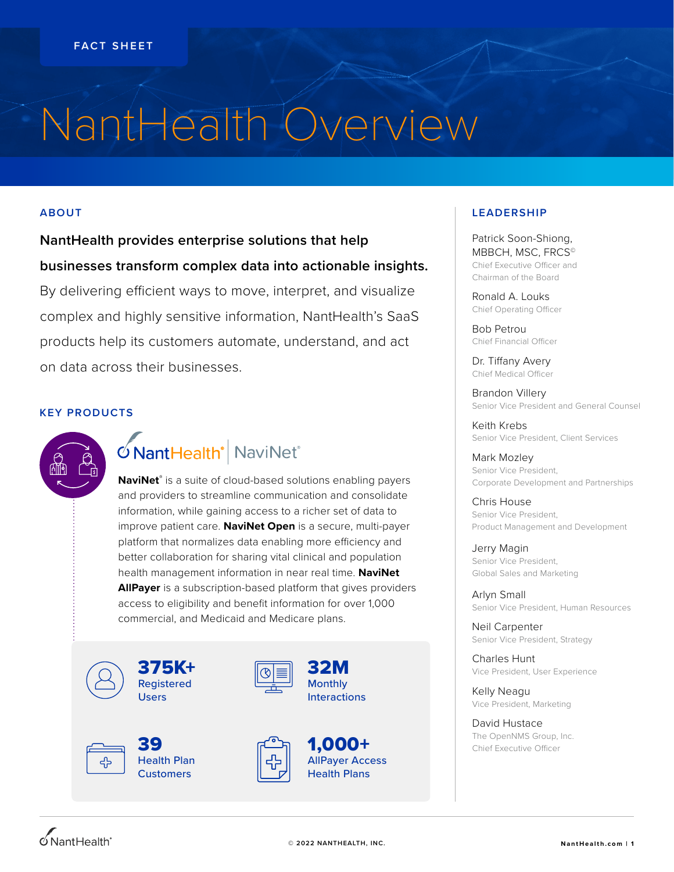# NantHealth Overview

### **ABOUT**

**NantHealth provides enterprise solutions that help businesses transform complex data into actionable insights.** By delivering efficient ways to move, interpret, and visualize complex and highly sensitive information, NantHealth's SaaS

products help its customers automate, understand, and act on data across their businesses.

### **KEY PRODUCTS**



## ONantHealth<sup>®</sup> NaviNet®

**NaviNet®** is a suite of cloud-based solutions enabling payers and providers to streamline communication and consolidate information, while gaining access to a richer set of data to improve patient care. **NaviNet Open** is a secure, multi-payer platform that normalizes data enabling more efficiency and better collaboration for sharing vital clinical and population health management information in near real time. **NaviNet AllPayer** is a subscription-based platform that gives providers access to eligibility and benefit information for over 1,000 commercial, and Medicaid and Medicare plans.



375K+ Registered **Users** 





39 Health Plan **Customers** 



1,000+ AllPayer Access Health Plans

32M Monthly Interactions

### **LEADERSHIP**

Patrick Soon-Shiong, MBBCH, MSC, FRCS<sup>®</sup> Chief Executive Officer and Chairman of the Board

Ronald A. Louks Chief Operating Officer

Bob Petrou Chief Financial Officer

Dr. Tiffany Avery Chief Medical Officer

Brandon Villery Senior Vice President and General Counsel

Keith Krebs Senior Vice President, Client Services

Mark Mozley Senior Vice President, Corporate Development and Partnerships

Chris House Senior Vice President, Product Management and Development

Jerry Magin Senior Vice President, Global Sales and Marketing

Arlyn Small Senior Vice President, Human Resources

Neil Carpenter Senior Vice President, Strategy

Charles Hunt Vice President, User Experience

Kelly Neagu Vice President, Marketing

David Hustace The OpenNMS Group, Inc. Chief Executive Officer